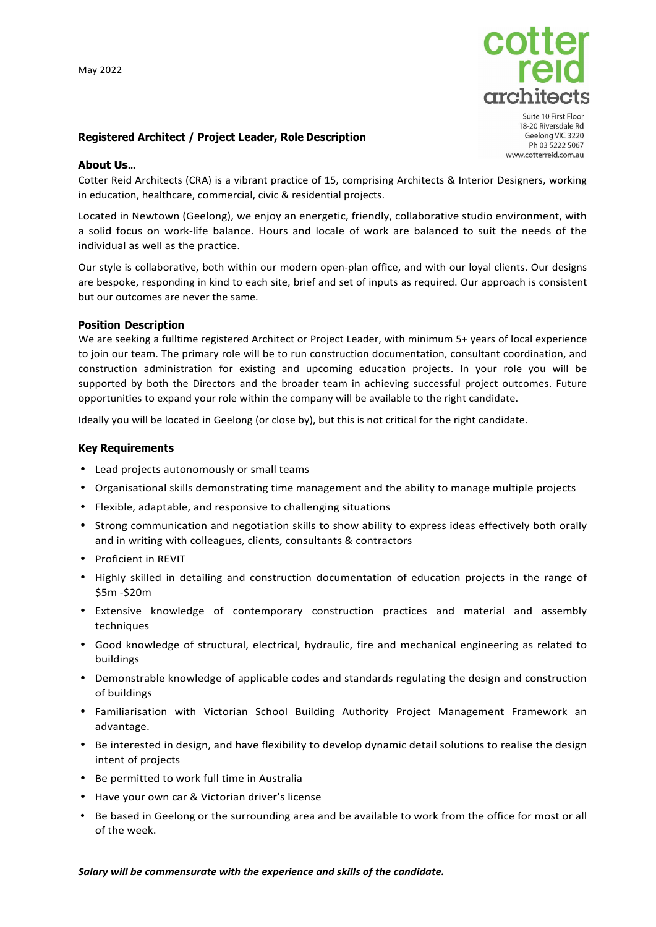

Suite 10 First Floor 18-20 Riversdale Rd Geelong VIC 3220 Ph 03 5222 5067 www.cotterreid.com.au

# **Registered Architect / Project Leader, Role Description**

### **About Us…**

Cotter Reid Architects (CRA) is a vibrant practice of 15, comprising Architects & Interior Designers, working in education, healthcare, commercial, civic & residential projects.

Located in Newtown (Geelong), we enjoy an energetic, friendly, collaborative studio environment, with a solid focus on work-life balance. Hours and locale of work are balanced to suit the needs of the individual as well as the practice.

Our style is collaborative, both within our modern open-plan office, and with our loyal clients. Our designs are bespoke, responding in kind to each site, brief and set of inputs as required. Our approach is consistent but our outcomes are never the same.

### **Position Description**

We are seeking a fulltime registered Architect or Project Leader, with minimum 5+ years of local experience to join our team. The primary role will be to run construction documentation, consultant coordination, and construction administration for existing and upcoming education projects. In your role you will be supported by both the Directors and the broader team in achieving successful project outcomes. Future opportunities to expand your role within the company will be available to the right candidate.

Ideally you will be located in Geelong (or close by), but this is not critical for the right candidate.

### **Key Requirements**

- Lead projects autonomously or small teams
- Organisational skills demonstrating time management and the ability to manage multiple projects
- Flexible, adaptable, and responsive to challenging situations
- Strong communication and negotiation skills to show ability to express ideas effectively both orally and in writing with colleagues, clients, consultants & contractors
- Proficient in REVIT
- Highly skilled in detailing and construction documentation of education projects in the range of \$5m -\$20m
- Extensive knowledge of contemporary construction practices and material and assembly techniques
- Good knowledge of structural, electrical, hydraulic, fire and mechanical engineering as related to buildings
- Demonstrable knowledge of applicable codes and standards regulating the design and construction of buildings
- Familiarisation with Victorian School Building Authority Project Management Framework an advantage.
- Be interested in design, and have flexibility to develop dynamic detail solutions to realise the design intent of projects
- Be permitted to work full time in Australia
- Have your own car & Victorian driver's license
- Be based in Geelong or the surrounding area and be available to work from the office for most or all of the week.

#### *Salary will be commensurate with the experience and skills of the candidate.*